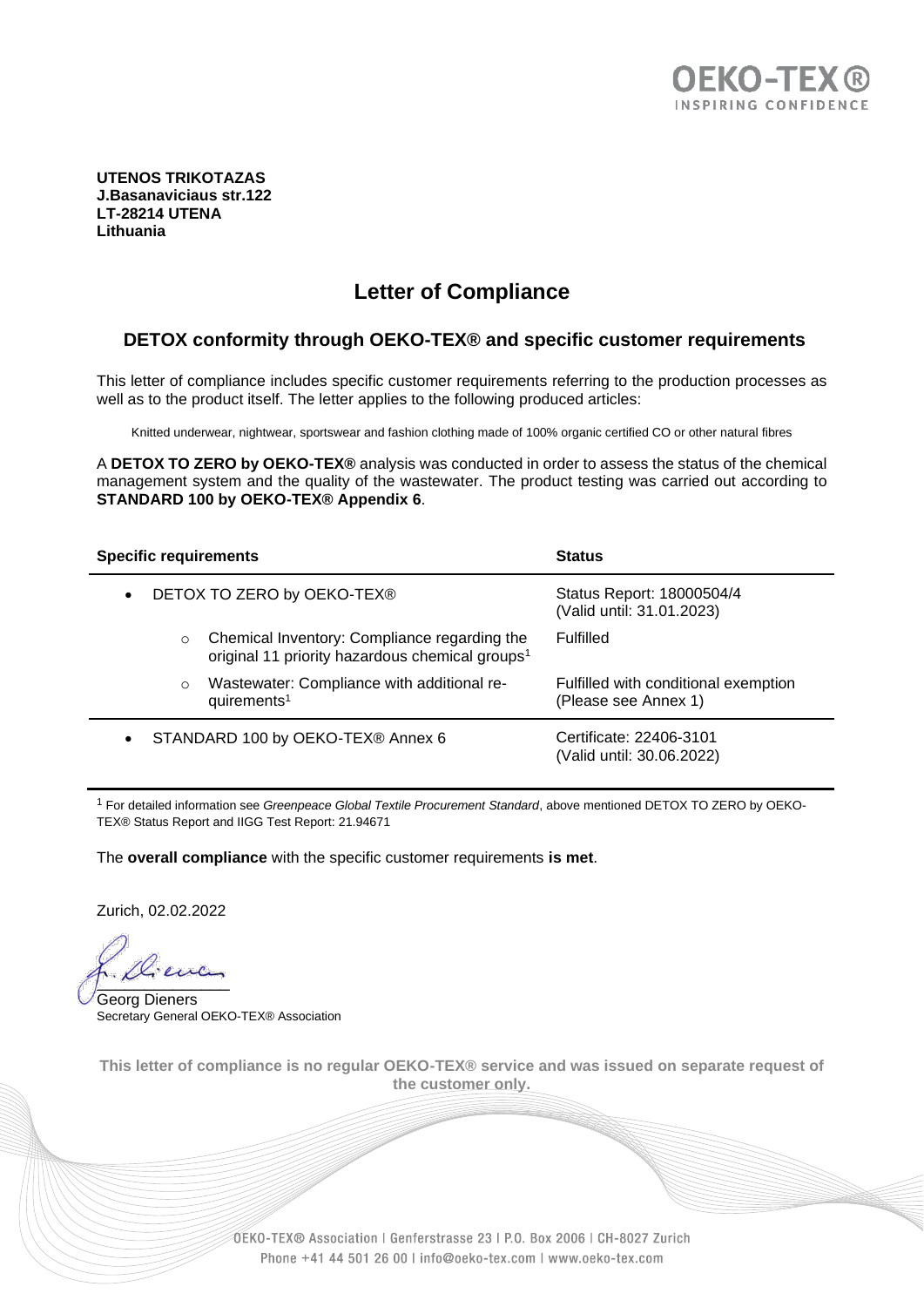

**UTENOS TRIKOTAZAS J.Basanaviciaus str.122 LT-28214 UTENA Lithuania**

# **Letter of Compliance**

#### **DETOX conformity through OEKO-TEX® and specific customer requirements**

This letter of compliance includes specific customer requirements referring to the production processes as well as to the product itself. The letter applies to the following produced articles:

Knitted underwear, nightwear, sportswear and fashion clothing made of 100% organic certified CO or other natural fibres

A **DETOX TO ZERO by OEKO-TEX®** analysis was conducted in order to assess the status of the chemical management system and the quality of the wastewater. The product testing was carried out according to **STANDARD 100 by OEKO-TEX® Appendix 6**.

|                                                |                            | <b>Specific requirements</b>                                                                                | <b>Status</b>                                                |
|------------------------------------------------|----------------------------|-------------------------------------------------------------------------------------------------------------|--------------------------------------------------------------|
| $\bullet$                                      | DETOX TO ZERO by OEKO-TEX® |                                                                                                             | Status Report: 18000504/4<br>(Valid until: 31.01.2023)       |
|                                                | $\circ$                    | Chemical Inventory: Compliance regarding the<br>original 11 priority hazardous chemical groups <sup>1</sup> | <b>Fulfilled</b>                                             |
|                                                | $\circ$                    | Wastewater: Compliance with additional re-<br>quirements <sup>1</sup>                                       | Fulfilled with conditional exemption<br>(Please see Annex 1) |
| STANDARD 100 by OEKO-TEX® Annex 6<br>$\bullet$ |                            |                                                                                                             | Certificate: 22406-3101<br>(Valid until: 30.06.2022)         |

<sup>1</sup> For detailed information see *Greenpeace Global Textile Procurement Standard*, above mentioned DETOX TO ZERO by OEKO-TEX® Status Report and IIGG Test Report: 21.94671

The **overall compliance** with the specific customer requirements **is met**.

Zurich, 02.02.2022

 $\cdots$ 

Georg Dieners Secretary General OEKO-TEX® Association

**This letter of compliance is no regular OEKO-TEX® service and was issued on separate request of the customer only.**

> OEKO-TEX® Association | Genferstrasse 23 | P.O. Box 2006 | CH-8027 Zurich Phone +41 44 501 26 00 | info@oeko-tex.com | www.oeko-tex.com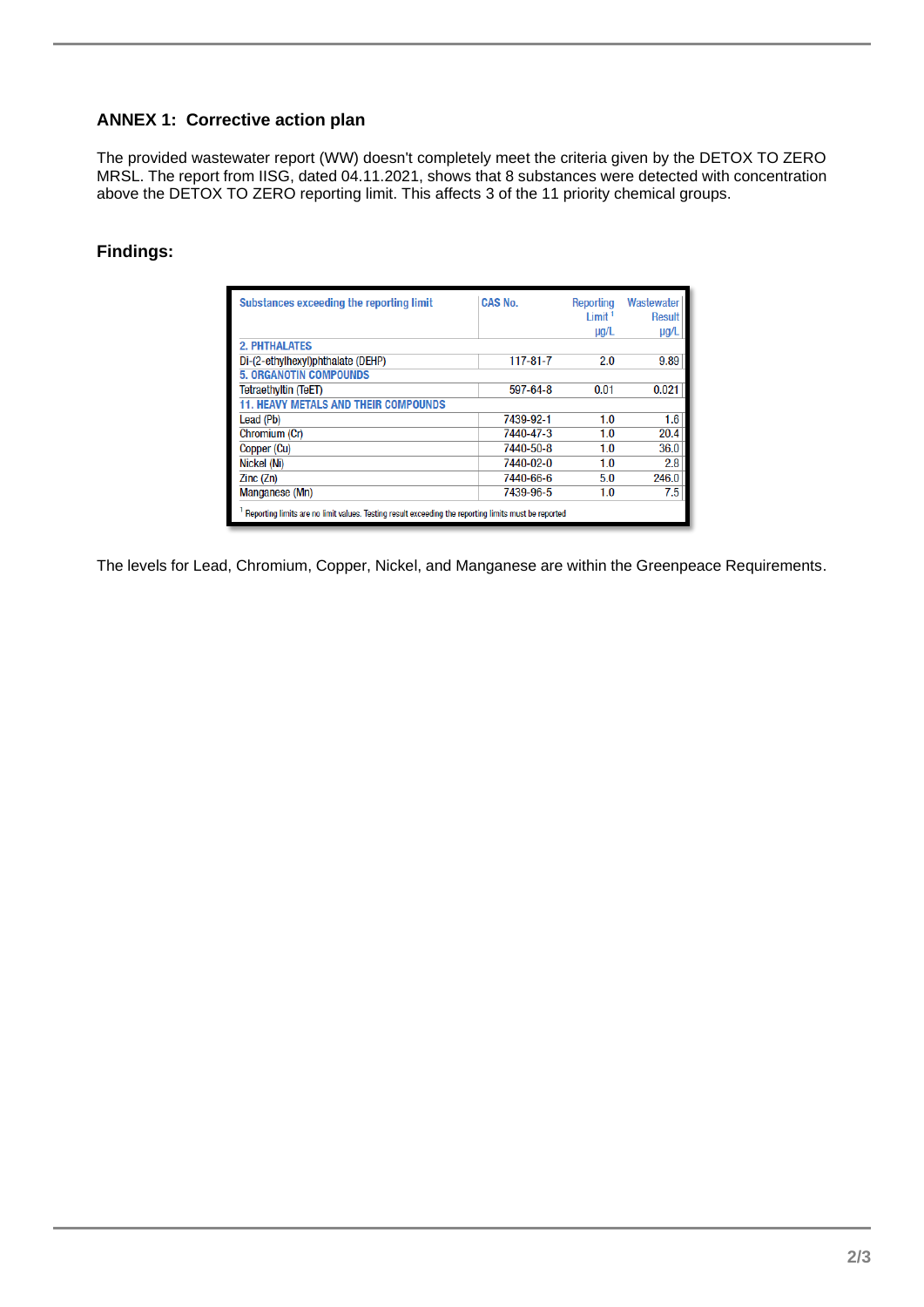### **ANNEX 1: Corrective action plan**

The provided wastewater report (WW) doesn't completely meet the criteria given by the DETOX TO ZERO MRSL. The report from IISG, dated 04.11.2021, shows that 8 substances were detected with concentration above the DETOX TO ZERO reporting limit. This affects 3 of the 11 priority chemical groups.

## **Findings:**

| Substances exceeding the reporting limit                                                             | <b>CAS No.</b> | Reporting<br>Limit <sup>1</sup><br>$\mu$ g/L | Wastewater<br>Result<br>$\mu$ g/L |  |
|------------------------------------------------------------------------------------------------------|----------------|----------------------------------------------|-----------------------------------|--|
| <b>2. PHTHALATES</b>                                                                                 |                |                                              |                                   |  |
| Di-(2-ethylhexyl)phthalate (DEHP)                                                                    | $117 - 81 - 7$ | 2.0                                          | 9.89                              |  |
| <b>5. ORGANOTIN COMPOUNDS</b>                                                                        |                |                                              |                                   |  |
| <b>Tetraethyltin (TeET)</b>                                                                          | 597-64-8       | 0.01                                         | 0.021                             |  |
| <b>11. HEAVY METALS AND THEIR COMPOUNDS</b>                                                          |                |                                              |                                   |  |
| Lead (Pb)                                                                                            | 7439-92-1      | 1.0                                          | 1.6                               |  |
| Chromium (Cr)                                                                                        | 7440-47-3      | 1.0                                          | 20.4                              |  |
| Copper (Cu)                                                                                          | 7440-50-8      | 1.0                                          | 36.0                              |  |
| Nickel (Ni)                                                                                          | 7440-02-0      | 1.0                                          | 2.8                               |  |
| Zinc(Zn)                                                                                             | 7440-66-6      | 5.0                                          | 246.0                             |  |
| Manganese (Mn)                                                                                       | 7439-96-5      | 1.0                                          | 7.5                               |  |
| Reporting limits are no limit values. Testing result exceeding the reporting limits must be reported |                |                                              |                                   |  |

The levels for Lead, Chromium, Copper, Nickel, and Manganese are within the Greenpeace Requirements.